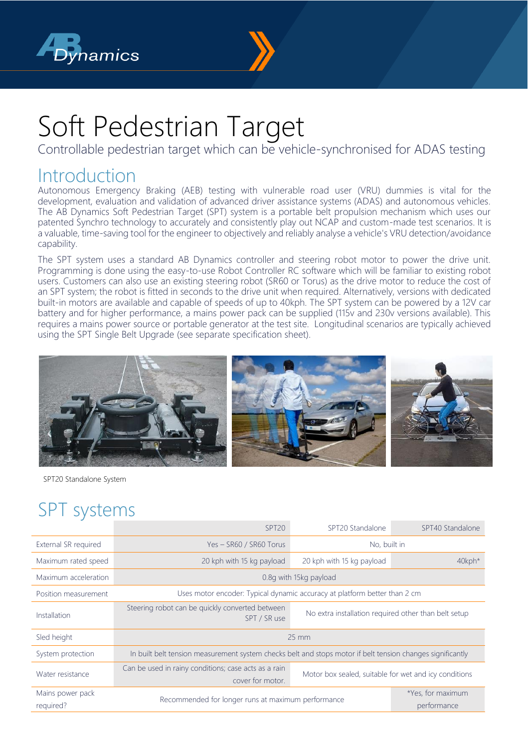



## Soft Pedestrian Target

Controllable pedestrian target which can be vehicle-synchronised for ADAS testing

## **Introduction**

Autonomous Emergency Braking (AEB) testing with vulnerable road user (VRU) dummies is vital for the development, evaluation and validation of advanced driver assistance systems (ADAS) and autonomous vehicles. The AB Dynamics Soft Pedestrian Target (SPT) system is a portable belt propulsion mechanism which uses our patented Synchro technology to accurately and consistently play out NCAP and custom-made test scenarios. It is a valuable, time-saving tool for the engineer to objectively and reliably analyse a vehicle's VRU detection/avoidance capability.

The SPT system uses a standard AB Dynamics controller and steering robot motor to power the drive unit. Programming is done using the easy-to-use Robot Controller RC software which will be familiar to existing robot users. Customers can also use an existing steering robot (SR60 or Torus) as the drive motor to reduce the cost of an SPT system; the robot is fitted in seconds to the drive unit when required. Alternatively, versions with dedicated built-in motors are available and capable of speeds of up to 40kph. The SPT system can be powered by a 12V car battery and for higher performance, a mains power pack can be supplied (115v and 230v versions available). This requires a mains power source or portable generator at the test site. Longitudinal scenarios are typically achieved using the SPT Single Belt Upgrade (see separate specification sheet).



SPT20 Standalone System

## SPT systems

|                               | SPT <sub>20</sub>                                                                                          | SPT20 Standalone                                      | SPT40 Standalone                 |
|-------------------------------|------------------------------------------------------------------------------------------------------------|-------------------------------------------------------|----------------------------------|
| External SR required          | Yes - SR60 / SR60 Torus                                                                                    | No, built in                                          |                                  |
| Maximum rated speed           | 20 kph with 15 kg payload                                                                                  | 20 kph with 15 kg payload                             | 40kph*                           |
| Maximum acceleration          | 0.8q with 15kg payload                                                                                     |                                                       |                                  |
| Position measurement          | Uses motor encoder: Typical dynamic accuracy at platform better than 2 cm                                  |                                                       |                                  |
| Installation                  | Steering robot can be quickly converted between<br>SPT / SR use                                            | No extra installation required other than belt setup  |                                  |
| Sled height                   | $25 \, \text{mm}$                                                                                          |                                                       |                                  |
| System protection             | In built belt tension measurement system checks belt and stops motor if belt tension changes significantly |                                                       |                                  |
| Water resistance              | Can be used in rainy conditions; case acts as a rain<br>cover for motor.                                   | Motor box sealed, suitable for wet and icy conditions |                                  |
| Mains power pack<br>required? | Recommended for longer runs at maximum performance                                                         |                                                       | *Yes, for maximum<br>performance |